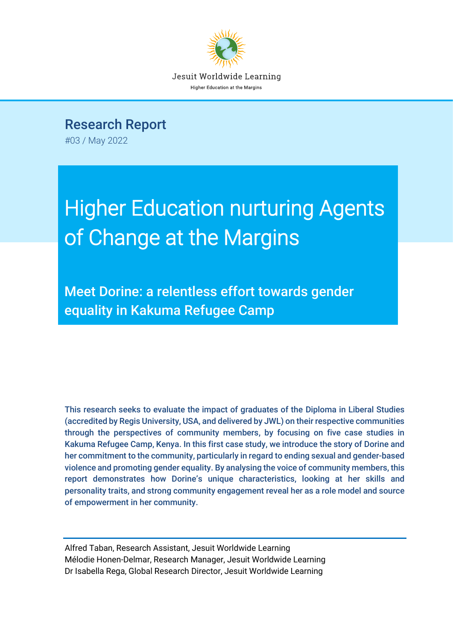

Research Report

#03 / May 2022

# Higher Education nurturing Agents of Change at the Margins

Meet Dorine: a relentless effort towards gender equality in Kakuma Refugee Camp

This research seeks to evaluate the impact of graduates of the Diploma in Liberal Studies (accredited by Regis University, USA, and delivered by JWL) on their respective communities through the perspectives of community members, by focusing on five case studies in Kakuma Refugee Camp, Kenya. In this first case study, we introduce the story of Dorine and her commitment to the community, particularly in regard to ending sexual and gender-based violence and promoting gender equality. By analysing the voice of community members, this report demonstrates how Dorine's unique characteristics, looking at her skills and personality traits, and strong community engagement reveal her as a role model and source of empowerment in her community.

Alfred Taban, Research Assistant, Jesuit Worldwide Learning Mélodie Honen-Delmar, Research Manager, Jesuit Worldwide Learning Dr Isabella Rega, Global Research Director, Jesuit Worldwide Learning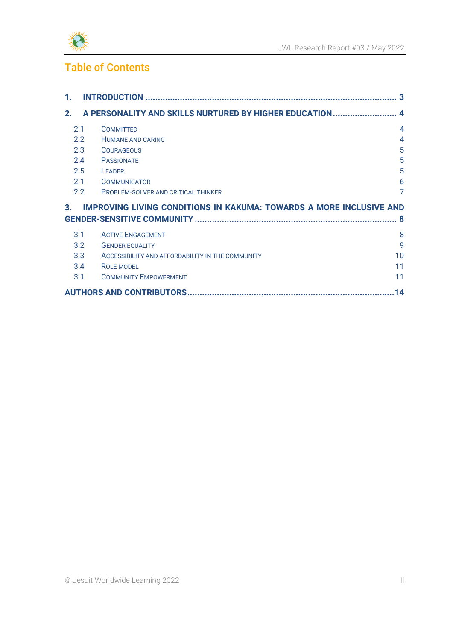

### Table of Contents

| 1. |               |                                                                            | 3              |
|----|---------------|----------------------------------------------------------------------------|----------------|
| 2. |               | A PERSONALITY AND SKILLS NURTURED BY HIGHER EDUCATION 4                    |                |
|    | 2.1           | <b>COMMITTED</b>                                                           | $\overline{4}$ |
|    | $2.2^{\circ}$ | <b>HUMANE AND CARING</b>                                                   | $\overline{4}$ |
|    | 2.3           | <b>COURAGEOUS</b>                                                          | 5              |
|    | 2.4           | <b>PASSIONATE</b>                                                          | 5              |
|    | 2.5           | <b>LEADER</b>                                                              | 5              |
|    | 2.1           | <b>COMMUNICATOR</b>                                                        | 6              |
|    | 2.2           | <b>PROBLEM-SOLVER AND CRITICAL THINKER</b>                                 | 7              |
| 3. |               | <b>IMPROVING LIVING CONDITIONS IN KAKUMA: TOWARDS A MORE INCLUSIVE AND</b> |                |
| -8 |               |                                                                            |                |
|    | 3.1           | <b>ACTIVE ENGAGEMENT</b>                                                   | 8              |
|    | 3.2           | <b>GENDER EQUALITY</b>                                                     | 9              |
|    | 3.3           | ACCESSIBILITY AND AFFORDABILITY IN THE COMMUNITY                           | 10             |
|    | 3.4           | <b>ROLE MODEL</b>                                                          | 11             |
|    | 3.1           | <b>COMMUNITY EMPOWERMENT</b>                                               | 11             |
|    |               |                                                                            | 14             |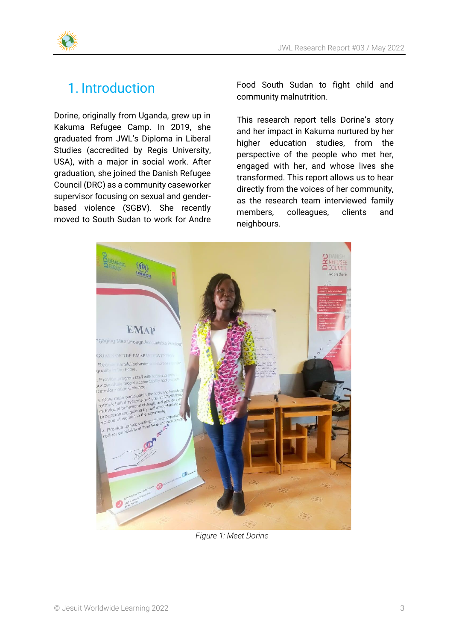

### <span id="page-2-0"></span>1. Introduction

Dorine, originally from Uganda, grew up in Kakuma Refugee Camp. In 2019, she graduated from JWL's Diploma in Liberal Studies (accredited by Regis University, USA), with a major in social work. After graduation, she joined the Danish Refugee Council (DRC) as a community caseworker supervisor focusing on sexual and genderbased violence (SGBV). She recently moved to South Sudan to work for Andre Food South Sudan to fight child and community malnutrition.

This research report tells Dorine's story and her impact in Kakuma nurtured by her higher education studies, from the perspective of the people who met her, engaged with her, and whose lives she transformed. This report allows us to hear directly from the voices of her community, as the research team interviewed family members, colleagues, clients and neighbours.



*Figure 1: Meet Dorine*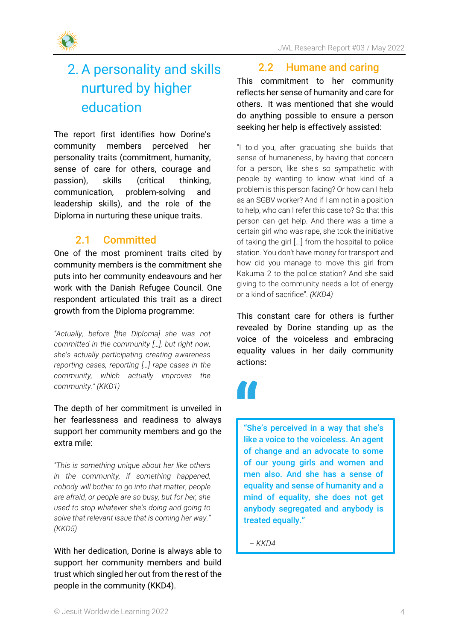

### <span id="page-3-0"></span>2. A personality and skills nurtured by higher education

The report first identifies how Dorine's community members perceived her personality traits (commitment, humanity, sense of care for others, courage and passion), skills (critical thinking, communication, problem-solving and leadership skills), and the role of the Diploma in nurturing these unique traits.

### 2.1 Committed

<span id="page-3-1"></span>One of the most prominent traits cited by community members is the commitment she puts into her community endeavours and her work with the Danish Refugee Council. One respondent articulated this trait as a direct growth from the Diploma programme:

*"Actually, before [the Diploma] she was not committed in the community […], but right now, she's actually participating creating awareness reporting cases, reporting […] rape cases in the community, which actually improves the community." (KKD1)*

The depth of her commitment is unveiled in her fearlessness and readiness to always support her community members and go the extra mile:

*"This is something unique about her like others in the community, if something happened, nobody will bother to go into that matter, people are afraid, or people are so busy, but for her, she used to stop whatever she's doing and going to solve that relevant issue that is coming her way." (KKD5)*

With her dedication, Dorine is always able to support her community members and build trust which singled her out from the rest of the people in the community (KKD4).

### 2.2 Humane and caring

<span id="page-3-2"></span>This commitment to her community reflects her sense of humanity and care for others. It was mentioned that she would do anything possible to ensure a person seeking her help is effectively assisted:

"I told you, after graduating she builds that sense of humaneness, by having that concern for a person, like she's so sympathetic with people by wanting to know what kind of a problem is this person facing? Or how can I help as an SGBV worker? And if I am not in a position to help, who can I refer this case to? So that this person can get help. And there was a time a certain girl who was rape, she took the initiative of taking the girl [...] from the hospital to police station. You don't have money for transport and how did you manage to move this girl from Kakuma 2 to the police station? And she said giving to the community needs a lot of energy or a kind of sacrifice". *(KKD4)*

This constant care for others is further revealed by Dorine standing up as the voice of the voiceless and embracing equality values in her daily community actions**:**

"She's perceived in a way that she's like a voice to the voiceless. An agent of change and an advocate to some of our young girls and women and men also. And she has a sense of equality and sense of humanity and a mind of equality, she does not get anybody segregated and anybody is treated equally."

*– KKD4*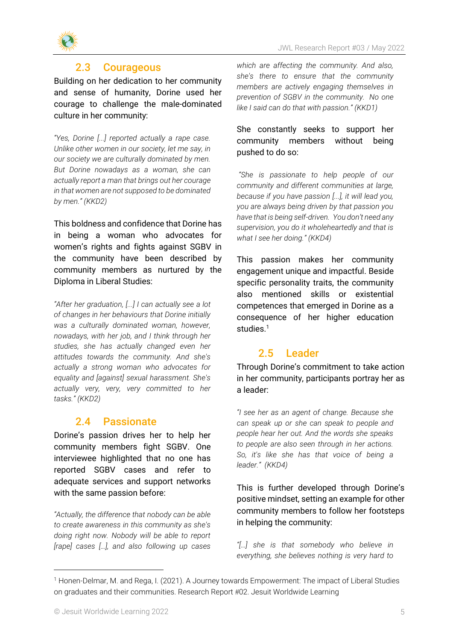

### 2.3 Courageous

<span id="page-4-0"></span>Building on her dedication to her community and sense of humanity, Dorine used her courage to challenge the male-dominated culture in her community:

*"Yes, Dorine [...] reported actually a rape case. Unlike other women in our society, let me say, in our society we are culturally dominated by men. But Dorine nowadays as a woman, she can actually report a man that brings out her courage in that women are not supposed to be dominated by men." (KKD2)*

This boldness and confidence that Dorine has in being a woman who advocates for women's rights and fights against SGBV in the community have been described by community members as nurtured by the Diploma in Liberal Studies:

*"After her graduation, [...] I can actually see a lot of changes in her behaviours that Dorine initially was a culturally dominated woman, however, nowadays, with her job, and I think through her studies, she has actually changed even her attitudes towards the community. And she's actually a strong woman who advocates for equality and [against] sexual harassment. She's actually very, very, very committed to her tasks." (KKD2)*

### 2.4 Passionate

<span id="page-4-1"></span>Dorine's passion drives her to help her community members fight SGBV. One interviewee highlighted that no one has reported SGBV cases and refer to adequate services and support networks with the same passion before:

*"Actually, the difference that nobody can be able to create awareness in this community as she's doing right now. Nobody will be able to report [rape] cases […], and also following up cases* 

*which are affecting the community. And also, she's there to ensure that the community members are actively engaging themselves in prevention of SGBV in the community. No one like I said can do that with passion." (KKD1)*

#### She constantly seeks to support her community members without being pushed to do so:

*"She is passionate to help people of our community and different communities at large, because if you have passion [...], it will lead you, you are always being driven by that passion you have that is being self-driven. You don't need any supervision, you do it wholeheartedly and that is what I see her doing." (KKD4)*

This passion makes her community engagement unique and impactful. Beside specific personality traits, the community also mentioned skills or existential competences that emerged in Dorine as a consequence of her higher education studies.<sup>1</sup>

### 2.5 Leader

<span id="page-4-2"></span>Through Dorine's commitment to take action in her community, participants portray her as a leader:

*"I see her as an agent of change. Because she can speak up or she can speak to people and people hear her out. And the words she speaks to people are also seen through in her actions. So, it's like she has that voice of being a leader." (KKD4)*

This is further developed through Dorine's positive mindset, setting an example for other community members to follow her footsteps in helping the community:

*"[…] she is that somebody who believe in everything, she believes nothing is very hard to* 

<sup>1</sup> Honen-Delmar, M. and Rega, I. (2021). A Journey towards Empowerment: The impact of Liberal Studies on graduates and their communities. Research Report #02. Jesuit Worldwide Learning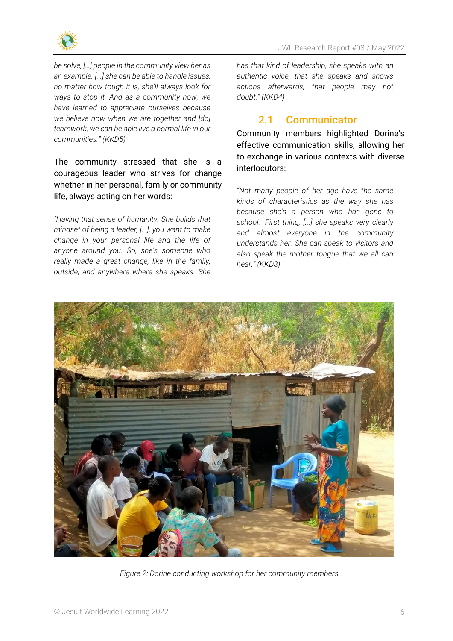

*be solve, […] people in the community view her as an example. [...] she can be able to handle issues, no matter how tough it is, she'll always look for ways to stop it. And as a community now, we have learned to appreciate ourselves because we believe now when we are together and [do] teamwork, we can be able live a normal life in our communities." (KKD5)*

The community stressed that she is a courageous leader who strives for change whether in her personal, family or community life, always acting on her words:

*"Having that sense of humanity. She builds that mindset of being a leader, [...], you want to make change in your personal life and the life of anyone around you. So, she's someone who really made a great change, like in the family, outside, and anywhere where she speaks. She* 

*has that kind of leadership, she speaks with an authentic voice, that she speaks and shows actions afterwards, that people may not doubt." (KKD4)*

### 2.1 Communicator

<span id="page-5-0"></span>Community members highlighted Dorine's effective communication skills, allowing her to exchange in various contexts with diverse interlocutors:

*"Not many people of her age have the same kinds of characteristics as the way she has because she's a person who has gone to school. First thing, [...] she speaks very clearly and almost everyone in the community understands her. She can speak to visitors and also speak the mother tongue that we all can hear." (KKD3)*



*Figure 2: Dorine conducting workshop for her community members*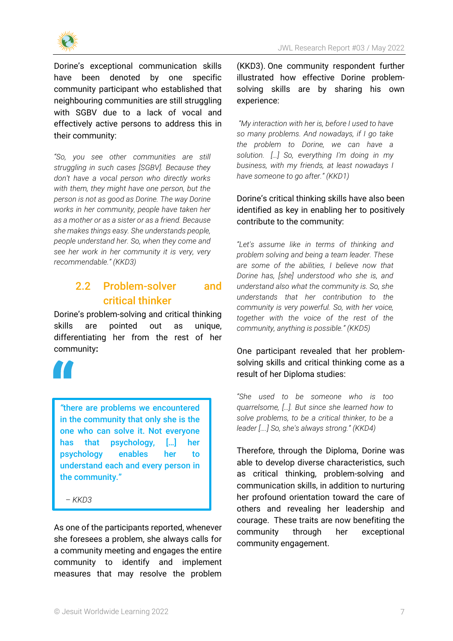Dorine's exceptional communication skills have been denoted by one specific community participant who established that neighbouring communities are still struggling with SGBV due to a lack of vocal and effectively active persons to address this in their community:

*"So, you see other communities are still struggling in such cases [SGBV]. Because they don't have a vocal person who directly works with them, they might have one person, but the person is not as good as Dorine. The way Dorine works in her community, people have taken her as a mother or as a sister or as a friend. Because she makes things easy. She understands people, people understand her. So, when they come and see her work in her community it is very, very recommendable." (KKD3)*

### <span id="page-6-0"></span>2.2 Problem-solver and critical thinker

Dorine's problem-solving and critical thinking skills are pointed out as unique, differentiating her from the rest of her community**:**



*"*there are problems we encountered in the community that only she is the one who can solve it. Not everyone has that psychology, […] her psychology enables her to understand each and every person in the community."

*– KKD3*

As one of the participants reported, whenever she foresees a problem, she always calls for a community meeting and engages the entire community to identify and implement measures that may resolve the problem (KKD3). One community respondent further illustrated how effective Dorine problemsolving skills are by sharing his own experience:

*"My interaction with her is, before I used to have so many problems. And nowadays, if I go take the problem to Dorine, we can have a solution. […] So, everything I'm doing in my business, with my friends, at least nowadays I have someone to go after." (KKD1)*

Dorine's critical thinking skills have also been identified as key in enabling her to positively contribute to the community:

*"Let's assume like in terms of thinking and problem solving and being a team leader. These are some of the abilities, I believe now that Dorine has, [she] understood who she is, and understand also what the community is. So, she understands that her contribution to the community is very powerful. So, with her voice, together with the voice of the rest of the community, anything is possible." (KKD5)*

#### One participant revealed that her problemsolving skills and critical thinking come as a result of her Diploma studies:

*"She used to be someone who is too quarrelsome, […]. But since she learned how to solve problems, to be a critical thinker, to be a leader [….] So, she's always strong." (KKD4)*

Therefore, through the Diploma, Dorine was able to develop diverse characteristics, such as critical thinking, problem-solving and communication skills, in addition to nurturing her profound orientation toward the care of others and revealing her leadership and courage. These traits are now benefiting the community through her exceptional community engagement.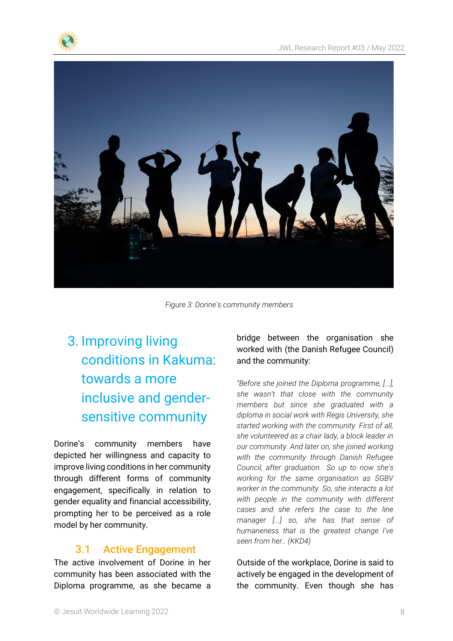



*Figure 3: Dorine's community members*

## <span id="page-7-0"></span>3. Improving living conditions in Kakuma: towards a more inclusive and gendersensitive community

Dorine's community members have depicted her willingness and capacity to improve living conditions in her community through different forms of community engagement, specifically in relation to gender equality and financial accessibility, prompting her to be perceived as a role model by her community.

### 3.1 Active Engagement

<span id="page-7-1"></span>The active involvement of Dorine in her community has been associated with the Diploma programme, as she became a bridge between the organisation she worked with (the Danish Refugee Council) and the community:

*"Before she joined the Diploma programme, [...], she wasn't that close with the community members but since she graduated with a diploma in social work with Regis University, she started working with the community. First of all, she volunteered as a chair lady, a block leader in our community. And later on, she joined working with the community through Danish Refugee Council, after graduation. So up to now she's working for the same organisation as SGBV worker in the community. So, she interacts a lot with people in the community with different cases and she refers the case to the line manager [...] so, she has that sense of humaneness that is the greatest change I've seen from her.. (KKD4)*

Outside of the workplace, Dorine is said to actively be engaged in the development of the community. Even though she has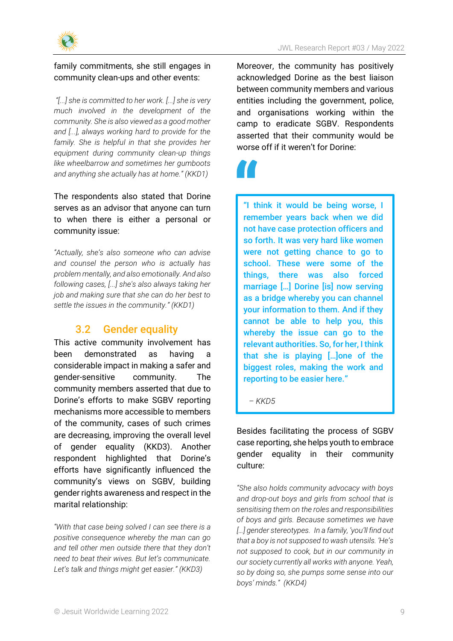

#### family commitments, she still engages in community clean-ups and other events:

*"[...] she is committed to her work. [...] she is very much involved in the development of the community. She is also viewed as a good mother and [...], always working hard to provide for the family. She is helpful in that she provides her equipment during community clean-up things like wheelbarrow and sometimes her gumboots and anything she actually has at home." (KKD1)*

### The respondents also stated that Dorine serves as an advisor that anyone can turn to when there is either a personal or community issue:

*"Actually, she's also someone who can advise and counsel the person who is actually has problem mentally, and also emotionally. And also following cases, [...] she's also always taking her job and making sure that she can do her best to settle the issues in the community." (KKD1)*

### 3.2 Gender equality

<span id="page-8-0"></span>This active community involvement has been demonstrated as having a considerable impact in making a safer and gender-sensitive community. The community members asserted that due to Dorine's efforts to make SGBV reporting mechanisms more accessible to members of the community, cases of such crimes are decreasing, improving the overall level of gender equality (KKD3). Another respondent highlighted that Dorine's efforts have significantly influenced the community's views on SGBV, building gender rights awareness and respect in the marital relationship:

*"With that case being solved I can see there is a positive consequence whereby the man can go and tell other men outside there that they don't need to beat their wives. But let's communicate. Let's talk and things might get easier." (KKD3)*

Moreover, the community has positively acknowledged Dorine as the best liaison between community members and various entities including the government, police, and organisations working within the camp to eradicate SGBV. Respondents asserted that their community would be worse off if it weren't for Dorine:



"I think it would be being worse, I remember years back when we did not have case protection officers and so forth. It was very hard like women were not getting chance to go to school. These were some of the things, there was also forced marriage […] Dorine [is] now serving as a bridge whereby you can channel your information to them. And if they cannot be able to help you, this whereby the issue can go to the relevant authorities. So, for her, I think that she is playing […]one of the biggest roles, making the work and reporting to be easier here."

*– KKD5*

Besides facilitating the process of SGBV case reporting, she helps youth to embrace gender equality in their community culture:

*"She also holds community advocacy with boys and drop-out boys and girls from school that is sensitising them on the roles and responsibilities of boys and girls. Because sometimes we have […] gender stereotypes. In a family, 'you'll find out that a boy is not supposed to wash utensils. 'He's not supposed to cook, but in our community in our society currently all works with anyone. Yeah, so by doing so, she pumps some sense into our boys' minds." (KKD4)*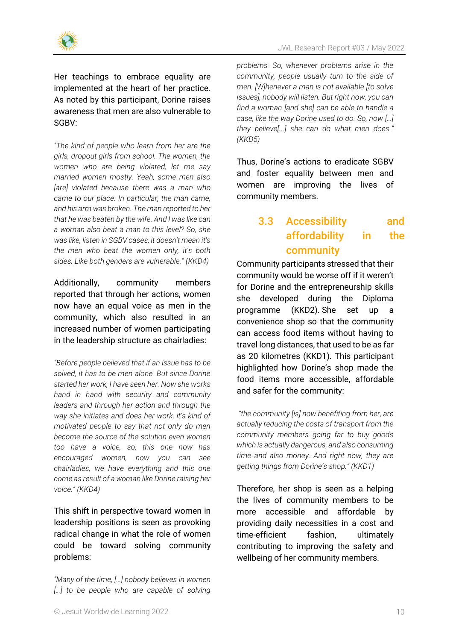

Her teachings to embrace equality are implemented at the heart of her practice. As noted by this participant, Dorine raises awareness that men are also vulnerable to SGBV:

*"The kind of people who learn from her are the girls, dropout girls from school. The women, the women who are being violated, let me say married women mostly. Yeah, some men also [are] violated because there was a man who came to our place. In particular, the man came, and his arm was broken. The man reported to her that he was beaten by the wife. And I was like can a woman also beat a man to this level? So, she was like, listen in SGBV cases, it doesn't mean it's the men who beat the women only, it's both sides. Like both genders are vulnerable." (KKD4)*

Additionally, community members reported that through her actions, women now have an equal voice as men in the community, which also resulted in an increased number of women participating in the leadership structure as chairladies:

*"Before people believed that if an issue has to be solved, it has to be men alone. But since Dorine started her work, I have seen her. Now she works hand in hand with security and community leaders and through her action and through the way she initiates and does her work, it's kind of motivated people to say that not only do men become the source of the solution even women too have a voice, so, this one now has encouraged women, now you can see chairladies, we have everything and this one come as result of a woman like Dorine raising her voice." (KKD4)*

This shift in perspective toward women in leadership positions is seen as provoking radical change in what the role of women could be toward solving community problems:

*"Many of the time, […] nobody believes in women […] to be people who are capable of solving* 

*problems. So, whenever problems arise in the community, people usually turn to the side of men. [W]henever a man is not available [to solve issues], nobody will listen. But right now, you can find a woman [and she] can be able to handle a case, like the way Dorine used to do. So, now […] they believe[...] she can do what men does." (KKD5)*

Thus, Dorine's actions to eradicate SGBV and foster equality between men and women are improving the lives of community members.

### <span id="page-9-0"></span>3.3 Accessibility and affordability in the community

Community participants stressed that their community would be worse off if it weren't for Dorine and the entrepreneurship skills she developed during the Diploma programme (KKD2). She set up a convenience shop so that the community can access food items without having to travel long distances, that used to be as far as 20 kilometres (KKD1). This participant highlighted how Dorine's shop made the food items more accessible, affordable and safer for the community:

*"the community [is] now benefiting from her, are actually reducing the costs of transport from the community members going far to buy goods which is actually dangerous, and also consuming time and also money. And right now, they are getting things from Dorine's shop." (KKD1)*

Therefore, her shop is seen as a helping the lives of community members to be more accessible and affordable by providing daily necessities in a cost and time-efficient fashion, ultimately contributing to improving the safety and wellbeing of her community members.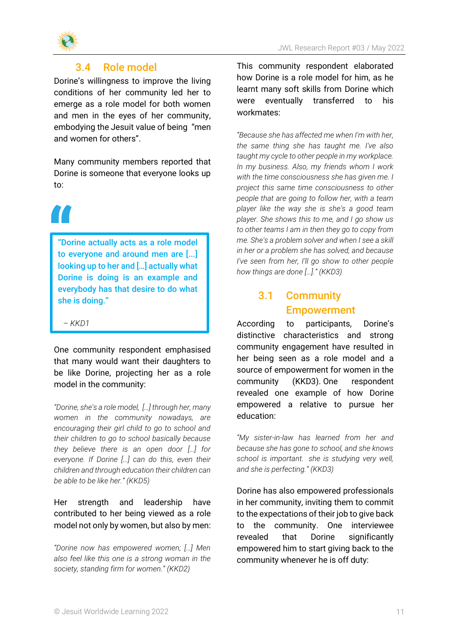

### 3.4 Role model

<span id="page-10-0"></span>Dorine's willingness to improve the living conditions of her community led her to emerge as a role model for both women and men in the eyes of her community, embodying the Jesuit value of being "men and women for others".

Many community members reported that Dorine is someone that everyone looks up to:

"Dorine actually acts as a role model to everyone and around men are [...] looking up to her and […] actually what Dorine is doing is an example and everybody has that desire to do what she is doing."

*– KKD1*

One community respondent emphasised that many would want their daughters to be like Dorine, projecting her as a role model in the community:

*"Dorine, she's a role model, […] through her, many women in the community nowadays, are encouraging their girl child to go to school and their children to go to school basically because they believe there is an open door […] for everyone. If Dorine […] can do this, even their children and through education their children can be able to be like her." (KKD5)*

### Her strength and leadership have contributed to her being viewed as a role model not only by women, but also by men:

*"Dorine now has empowered women; […] Men also feel like this one is a strong woman in the society, standing firm for women." (KKD2)*

This community respondent elaborated how Dorine is a role model for him, as he learnt many soft skills from Dorine which were eventually transferred to his workmates:

*"Because she has affected me when I'm with her, the same thing she has taught me. I've also taught my cycle to other people in my workplace. In my business. Also, my friends whom I work with the time consciousness she has given me. I project this same time consciousness to other people that are going to follow her, with a team player like the way she is she's a good team player. She shows this to me, and I go show us to other teams I am in then they go to copy from me. She's a problem solver and when I see a skill in her or a problem she has solved, and because I've seen from her, I'll go show to other people how things are done […]." (KKD3)*

### <span id="page-10-1"></span>3.1 Community Empowerment

According to participants, Dorine's distinctive characteristics and strong community engagement have resulted in her being seen as a role model and a source of empowerment for women in the community (KKD3). One respondent revealed one example of how Dorine empowered a relative to pursue her education:

*"My sister-in-law has learned from her and because she has gone to school, and she knows school is important. she is studying very well, and she is perfecting." (KKD3)*

Dorine has also empowered professionals in her community, inviting them to commit to the expectations of their job to give back to the community. One interviewee revealed that Dorine significantly empowered him to start giving back to the community whenever he is off duty: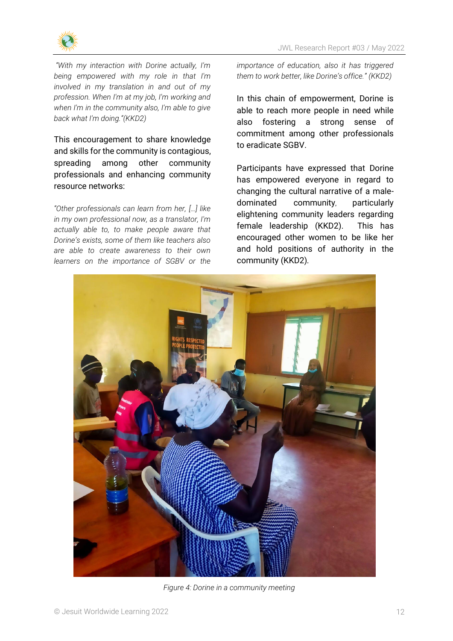

*"With my interaction with Dorine actually, I'm being empowered with my role in that I'm involved in my translation in and out of my profession. When I'm at my job, I'm working and when I'm in the community also, I'm able to give back what I'm doing."(KKD2)*

This encouragement to share knowledge and skills for the community is contagious, spreading among other community professionals and enhancing community resource networks:

*"Other professionals can learn from her, […] like in my own professional now, as a translator, I'm actually able to, to make people aware that Dorine's exists, some of them like teachers also are able to create awareness to their own learners on the importance of SGBV or the*  *importance of education, also it has triggered them to work better, like Dorine's office." (KKD2)*

In this chain of empowerment, Dorine is able to reach more people in need while also fostering a strong sense of commitment among other professionals to eradicate SGBV.

Participants have expressed that Dorine has empowered everyone in regard to changing the cultural narrative of a maledominated community, particularly elightening community leaders regarding female leadership (KKD2). This has encouraged other women to be like her and hold positions of authority in the community (KKD2)*.*



*Figure 4: Dorine in a community meeting*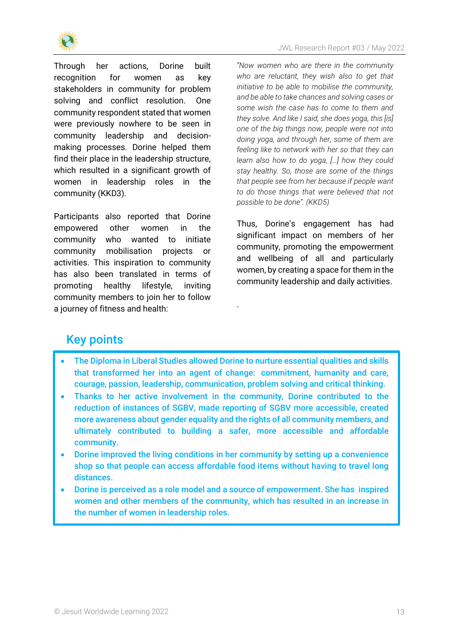

Through her actions, Dorine built recognition for women as key stakeholders in community for problem solving and conflict resolution. One community respondent stated that women were previously nowhere to be seen in community leadership and decisionmaking processes. Dorine helped them find their place in the leadership structure, which resulted in a significant growth of women in leadership roles in the community (KKD3).

Participants also reported that Dorine empowered other women in the community who wanted to initiate community mobilisation projects or activities. This inspiration to community has also been translated in terms of promoting healthy lifestyle, inviting community members to join her to follow a journey of fitness and health:

*"Now women who are there in the community who are reluctant, they wish also to get that initiative to be able to mobilise the community, and be able to take chances and solving cases or some wish the case has to come to them and they solve. And like I said, she does yoga, this [is] one of the big things now, people were not into doing yoga, and through her, some of them are feeling like to network with her so that they can learn also how to do yoga, […] how they could stay healthy. So, those are some of the things that people see from her because if people want to do those things that were believed that not possible to be done". (KKD5)*

Thus, Dorine's engagement has had significant impact on members of her community, promoting the empowerment and wellbeing of all and particularly women, by creating a space for them in the community leadership and daily activities.

### Key points

• The Diploma in Liberal Studies allowed Dorine to nurture essential qualities and skills that transformed her into an agent of change: commitment, humanity and care, courage, passion, leadership, communication, problem solving and critical thinking.

.

- Thanks to her active involvement in the community, Dorine contributed to the reduction of instances of SGBV, made reporting of SGBV more accessible, created more awareness about gender equality and the rights of all community members, and ultimately contributed to building a safer, more accessible and affordable community.
- Dorine improved the living conditions in her community by setting up a convenience shop so that people can access affordable food items without having to travel long distances.
- Dorine is perceived as a role model and a source of empowerment. She has inspired women and other members of the community, which has resulted in an increase in the number of women in leadership roles.